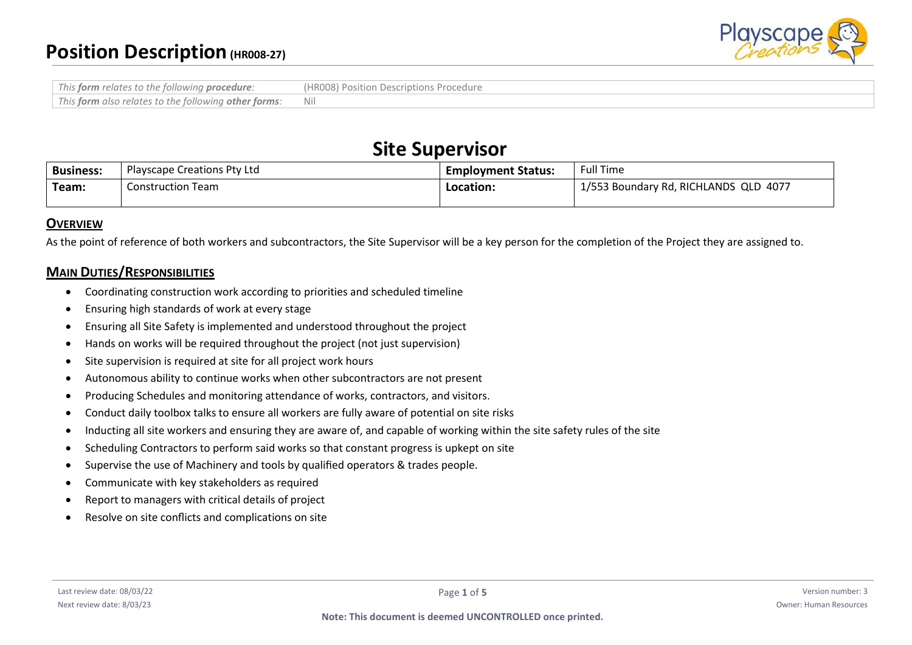

| This form relates to the following procedure:        | (HROO8) Position Descriptions Procedure |
|------------------------------------------------------|-----------------------------------------|
| This form also relates to the following other forms: |                                         |

# **Site Supervisor**

| <b>Business:</b> | <b>Playscape Creations Pty Ltd</b> | <b>Employment Status:</b> | <b>Full Time</b>                      |
|------------------|------------------------------------|---------------------------|---------------------------------------|
| Team:            | <b>Construction Team</b>           | Location:                 | 1/553 Boundary Rd, RICHLANDS QLD 4077 |

# **OVERVIEW**

As the point of reference of both workers and subcontractors, the Site Supervisor will be a key person for the completion of the Project they are assigned to.

# **MAIN DUTIES/RESPONSIBILITIES**

- Coordinating construction work according to priorities and scheduled timeline
- Ensuring high standards of work at every stage
- Ensuring all Site Safety is implemented and understood throughout the project
- Hands on works will be required throughout the project (not just supervision)
- Site supervision is required at site for all project work hours
- Autonomous ability to continue works when other subcontractors are not present
- Producing Schedules and monitoring attendance of works, contractors, and visitors.
- Conduct daily toolbox talks to ensure all workers are fully aware of potential on site risks
- Inducting all site workers and ensuring they are aware of, and capable of working within the site safety rules of the site
- Scheduling Contractors to perform said works so that constant progress is upkept on site
- Supervise the use of Machinery and tools by qualified operators & trades people.
- Communicate with key stakeholders as required
- Report to managers with critical details of project
- Resolve on site conflicts and complications on site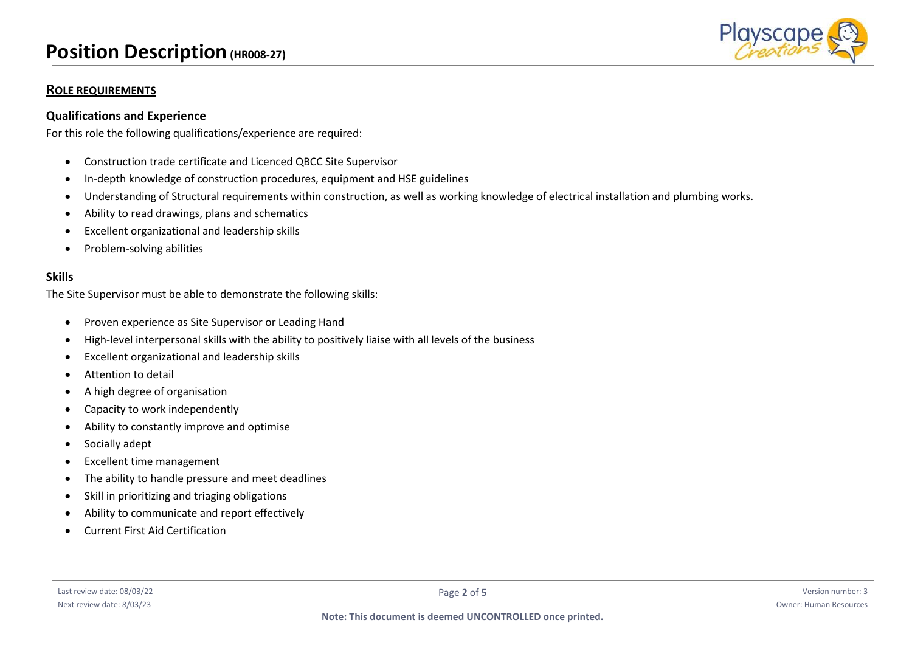# **Position Description(HR008-27)**



# **ROLE REQUIREMENTS**

#### **Qualifications and Experience**

For this role the following qualifications/experience are required:

- Construction trade certificate and Licenced QBCC Site Supervisor
- In-depth knowledge of construction procedures, equipment and HSE guidelines
- Understanding of Structural requirements within construction, as well as working knowledge of electrical installation and plumbing works.
- Ability to read drawings, plans and schematics
- Excellent organizational and leadership skills
- Problem-solving abilities

#### **Skills**

The Site Supervisor must be able to demonstrate the following skills:

- Proven experience as Site Supervisor or Leading Hand
- High-level interpersonal skills with the ability to positively liaise with all levels of the business
- Excellent organizational and leadership skills
- Attention to detail
- A high degree of organisation
- Capacity to work independently
- Ability to constantly improve and optimise
- Socially adept
- Excellent time management
- The ability to handle pressure and meet deadlines
- Skill in prioritizing and triaging obligations
- Ability to communicate and report effectively
- Current First Aid Certification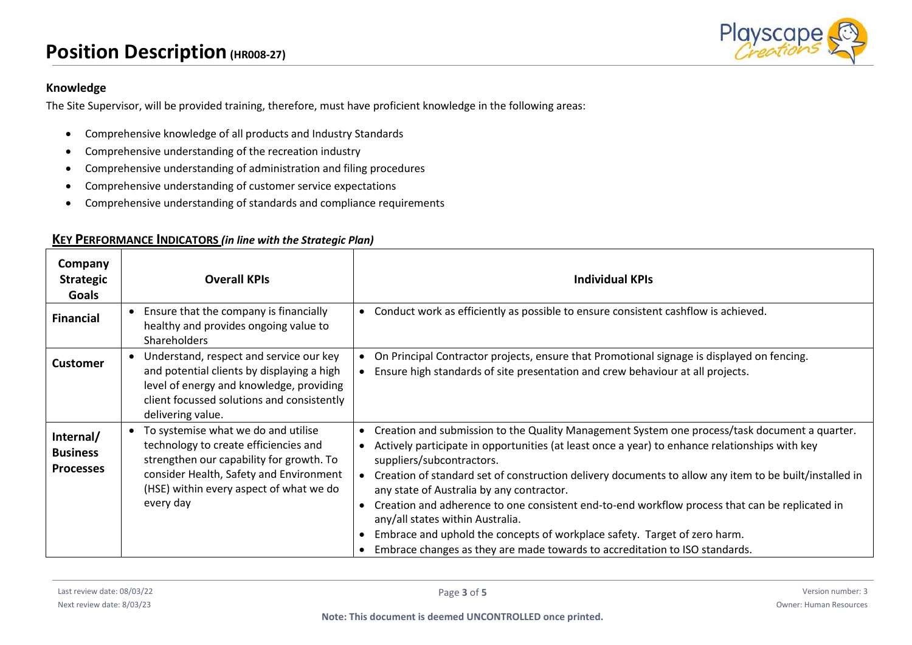

### **Knowledge**

The Site Supervisor, will be provided training, therefore, must have proficient knowledge in the following areas:

- Comprehensive knowledge of all products and Industry Standards
- Comprehensive understanding of the recreation industry
- Comprehensive understanding of administration and filing procedures
- Comprehensive understanding of customer service expectations
- Comprehensive understanding of standards and compliance requirements

| Company<br><b>Strategic</b><br>Goals             | <b>Overall KPIs</b>                                                                                                                                                                                                         | <b>Individual KPIs</b>                                                                                                                                                                                                                                                                                                                                                                                                                                                                                                                                                                                                                                                                                                                    |
|--------------------------------------------------|-----------------------------------------------------------------------------------------------------------------------------------------------------------------------------------------------------------------------------|-------------------------------------------------------------------------------------------------------------------------------------------------------------------------------------------------------------------------------------------------------------------------------------------------------------------------------------------------------------------------------------------------------------------------------------------------------------------------------------------------------------------------------------------------------------------------------------------------------------------------------------------------------------------------------------------------------------------------------------------|
| <b>Financial</b>                                 | Ensure that the company is financially<br>healthy and provides ongoing value to<br><b>Shareholders</b>                                                                                                                      | Conduct work as efficiently as possible to ensure consistent cashflow is achieved.<br>$\bullet$                                                                                                                                                                                                                                                                                                                                                                                                                                                                                                                                                                                                                                           |
| <b>Customer</b>                                  | Understand, respect and service our key<br>and potential clients by displaying a high<br>level of energy and knowledge, providing<br>client focussed solutions and consistently<br>delivering value.                        | On Principal Contractor projects, ensure that Promotional signage is displayed on fencing.<br>Ensure high standards of site presentation and crew behaviour at all projects.                                                                                                                                                                                                                                                                                                                                                                                                                                                                                                                                                              |
| Internal/<br><b>Business</b><br><b>Processes</b> | To systemise what we do and utilise<br>technology to create efficiencies and<br>strengthen our capability for growth. To<br>consider Health, Safety and Environment<br>(HSE) within every aspect of what we do<br>every day | Creation and submission to the Quality Management System one process/task document a quarter.<br>$\bullet$<br>Actively participate in opportunities (at least once a year) to enhance relationships with key<br>$\bullet$<br>suppliers/subcontractors.<br>Creation of standard set of construction delivery documents to allow any item to be built/installed in<br>any state of Australia by any contractor.<br>Creation and adherence to one consistent end-to-end workflow process that can be replicated in<br>$\bullet$<br>any/all states within Australia.<br>Embrace and uphold the concepts of workplace safety. Target of zero harm.<br>$\bullet$<br>Embrace changes as they are made towards to accreditation to ISO standards. |

#### **KEY PERFORMANCE INDICATORS** *(in line with the Strategic Plan)*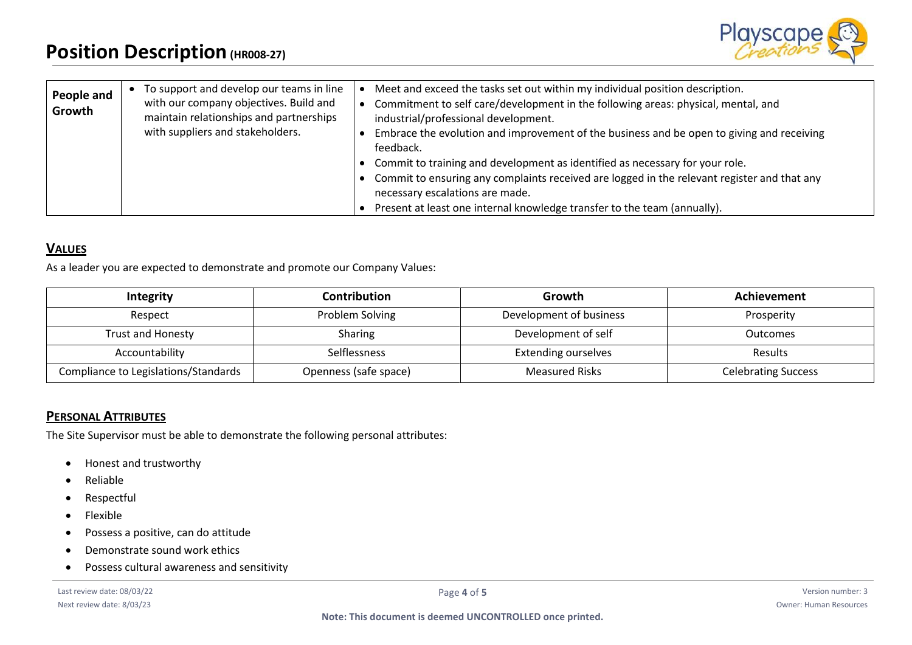

| People and<br>Growth | To support and develop our teams in line<br>with our company objectives. Build and<br>maintain relationships and partnerships<br>with suppliers and stakeholders. | Meet and exceed the tasks set out within my individual position description.<br>Commitment to self care/development in the following areas: physical, mental, and<br>industrial/professional development.<br>Embrace the evolution and improvement of the business and be open to giving and receiving<br>feedback. |
|----------------------|-------------------------------------------------------------------------------------------------------------------------------------------------------------------|---------------------------------------------------------------------------------------------------------------------------------------------------------------------------------------------------------------------------------------------------------------------------------------------------------------------|
|                      |                                                                                                                                                                   | Commit to training and development as identified as necessary for your role.<br>Commit to ensuring any complaints received are logged in the relevant register and that any<br>necessary escalations are made.                                                                                                      |
|                      |                                                                                                                                                                   | Present at least one internal knowledge transfer to the team (annually).                                                                                                                                                                                                                                            |

# **VALUES**

As a leader you are expected to demonstrate and promote our Company Values:

| Integrity                            | <b>Contribution</b>   | Growth                     | Achievement                |
|--------------------------------------|-----------------------|----------------------------|----------------------------|
| Respect                              | Problem Solving       | Development of business    | Prosperity                 |
| Trust and Honesty                    | Sharing               | Development of self        | <b>Outcomes</b>            |
| Accountability                       | Selflessness          | <b>Extending ourselves</b> | <b>Results</b>             |
| Compliance to Legislations/Standards | Openness (safe space) | <b>Measured Risks</b>      | <b>Celebrating Success</b> |

# **PERSONAL ATTRIBUTES**

The Site Supervisor must be able to demonstrate the following personal attributes:

- Honest and trustworthy
- Reliable
- Respectful
- Flexible
- Possess a positive, can do attitude
- Demonstrate sound work ethics
- Possess cultural awareness and sensitivity